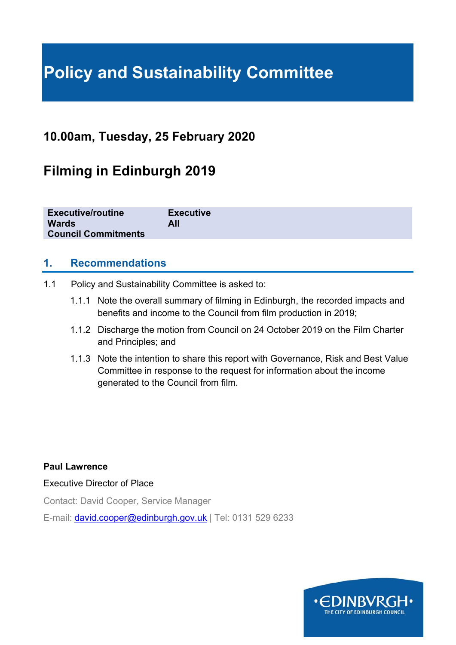# **Policy and Sustainability Committee**

## **10.00am, Tuesday, 25 February 2020**

## **Filming in Edinburgh 2019**

## **1. Recommendations**

- 1.1 Policy and Sustainability Committee is asked to:
	- 1.1.1 Note the overall summary of filming in Edinburgh, the recorded impacts and benefits and income to the Council from film production in 2019;
	- 1.1.2 Discharge the motion from Council on 24 October 2019 on the Film Charter and Principles; and
	- 1.1.3 Note the intention to share this report with Governance, Risk and Best Value Committee in response to the request for information about the income generated to the Council from film.

**Paul Lawrence** 

Executive Director of Place

Contact: David Cooper, Service Manager

E-mail: david.cooper@edinburgh.gov.uk | Tel: 0131 529 6233

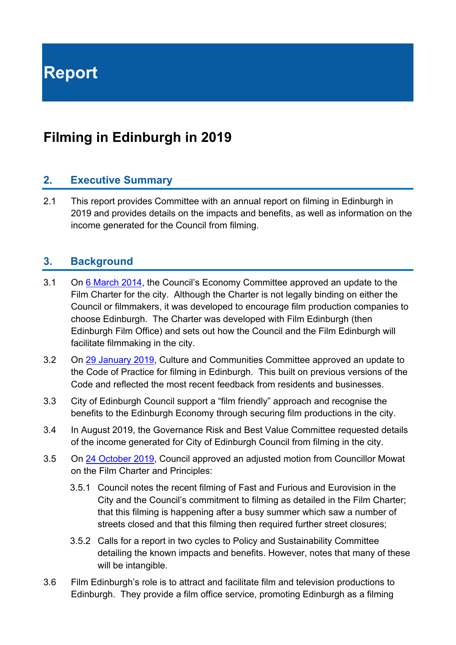**Report** 

## **Filming in Edinburgh in 2019**

## **2. Executive Summary**

2.1 This report provides Committee with an annual report on filming in Edinburgh in 2019 and provides details on the impacts and benefits, as well as information on the income generated for the Council from filming.

## **3. Background**

- 3.1 On 6 March 2014, the Council's Economy Committee approved an update to the Film Charter for the city. Although the Charter is not legally binding on either the Council or filmmakers, it was developed to encourage film production companies to choose Edinburgh. The Charter was developed with Film Edinburgh (then Edinburgh Film Office) and sets out how the Council and the Film Edinburgh will facilitate filmmaking in the city.
- 3.2 On 29 January 2019, Culture and Communities Committee approved an update to the Code of Practice for filming in Edinburgh. This built on previous versions of the Code and reflected the most recent feedback from residents and businesses.
- 3.3 City of Edinburgh Council support a "film friendly" approach and recognise the benefits to the Edinburgh Economy through securing film productions in the city.
- 3.4 In August 2019, the Governance Risk and Best Value Committee requested details of the income generated for City of Edinburgh Council from filming in the city.
- 3.5 On 24 October 2019, Council approved an adjusted motion from Councillor Mowat on the Film Charter and Principles:
	- 3.5.1 Council notes the recent filming of Fast and Furious and Eurovision in the City and the Council's commitment to filming as detailed in the Film Charter; that this filming is happening after a busy summer which saw a number of streets closed and that this filming then required further street closures;
	- 3.5.2 Calls for a report in two cycles to Policy and Sustainability Committee detailing the known impacts and benefits. However, notes that many of these will be intangible.
- 3.6 Film Edinburgh's role is to attract and facilitate film and television productions to Edinburgh. They provide a film office service, promoting Edinburgh as a filming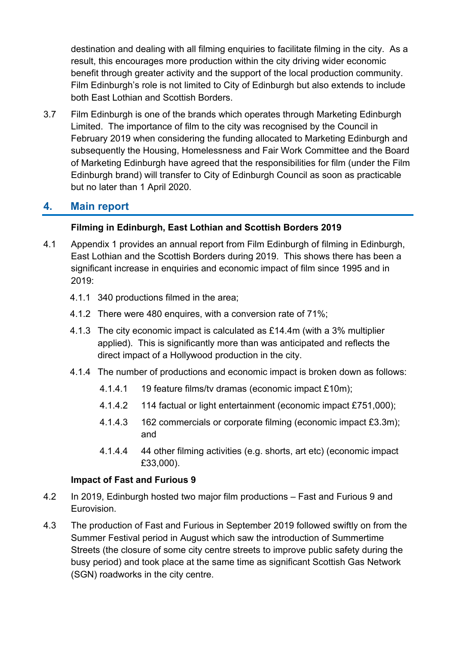destination and dealing with all filming enquiries to facilitate filming in the city. As a result, this encourages more production within the city driving wider economic benefit through greater activity and the support of the local production community. Film Edinburgh's role is not limited to City of Edinburgh but also extends to include both East Lothian and Scottish Borders.

3.7 Film Edinburgh is one of the brands which operates through Marketing Edinburgh Limited. The importance of film to the city was recognised by the Council in February 2019 when considering the funding allocated to Marketing Edinburgh and subsequently the Housing, Homelessness and Fair Work Committee and the Board of Marketing Edinburgh have agreed that the responsibilities for film (under the Film Edinburgh brand) will transfer to City of Edinburgh Council as soon as practicable but no later than 1 April 2020.

## **4. Main report**

### **Filming in Edinburgh, East Lothian and Scottish Borders 2019**

- 4.1 Appendix 1 provides an annual report from Film Edinburgh of filming in Edinburgh, East Lothian and the Scottish Borders during 2019. This shows there has been a significant increase in enquiries and economic impact of film since 1995 and in 2019:
	- 4.1.1 340 productions filmed in the area;
	- 4.1.2 There were 480 enquires, with a conversion rate of 71%;
	- 4.1.3 The city economic impact is calculated as £14.4m (with a 3% multiplier applied). This is significantly more than was anticipated and reflects the direct impact of a Hollywood production in the city.
	- 4.1.4 The number of productions and economic impact is broken down as follows:
		- 4.1.4.1 19 feature films/tv dramas (economic impact £10m);
		- 4.1.4.2 114 factual or light entertainment (economic impact £751,000);
		- 4.1.4.3 162 commercials or corporate filming (economic impact £3.3m); and
		- 4.1.4.4 44 other filming activities (e.g. shorts, art etc) (economic impact £33,000).

## **Impact of Fast and Furious 9**

- 4.2 In 2019, Edinburgh hosted two major film productions Fast and Furious 9 and Eurovision.
- 4.3 The production of Fast and Furious in September 2019 followed swiftly on from the Summer Festival period in August which saw the introduction of Summertime Streets (the closure of some city centre streets to improve public safety during the busy period) and took place at the same time as significant Scottish Gas Network (SGN) roadworks in the city centre.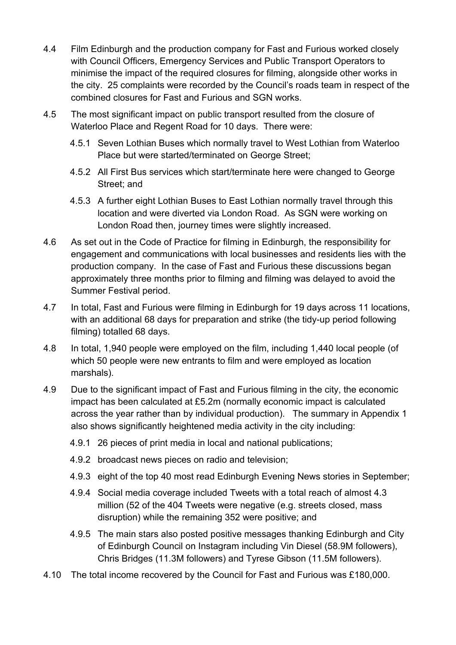- 4.4 Film Edinburgh and the production company for Fast and Furious worked closely with Council Officers, Emergency Services and Public Transport Operators to minimise the impact of the required closures for filming, alongside other works in the city. 25 complaints were recorded by the Council's roads team in respect of the combined closures for Fast and Furious and SGN works.
- 4.5 The most significant impact on public transport resulted from the closure of Waterloo Place and Regent Road for 10 days. There were:
	- 4.5.1 Seven Lothian Buses which normally travel to West Lothian from Waterloo Place but were started/terminated on George Street;
	- 4.5.2 All First Bus services which start/terminate here were changed to George Street; and
	- 4.5.3 A further eight Lothian Buses to East Lothian normally travel through this location and were diverted via London Road. As SGN were working on London Road then, journey times were slightly increased.
- 4.6 As set out in the Code of Practice for filming in Edinburgh, the responsibility for engagement and communications with local businesses and residents lies with the production company. In the case of Fast and Furious these discussions began approximately three months prior to filming and filming was delayed to avoid the Summer Festival period.
- 4.7 In total, Fast and Furious were filming in Edinburgh for 19 days across 11 locations, with an additional 68 days for preparation and strike (the tidy-up period following filming) totalled 68 days.
- 4.8 In total, 1,940 people were employed on the film, including 1,440 local people (of which 50 people were new entrants to film and were employed as location marshals).
- 4.9 Due to the significant impact of Fast and Furious filming in the city, the economic impact has been calculated at £5.2m (normally economic impact is calculated across the year rather than by individual production). The summary in Appendix 1 also shows significantly heightened media activity in the city including:
	- 4.9.1 26 pieces of print media in local and national publications;
	- 4.9.2 broadcast news pieces on radio and television;
	- 4.9.3 eight of the top 40 most read Edinburgh Evening News stories in September;
	- 4.9.4 Social media coverage included Tweets with a total reach of almost 4.3 million (52 of the 404 Tweets were negative (e.g. streets closed, mass disruption) while the remaining 352 were positive; and
	- 4.9.5 The main stars also posted positive messages thanking Edinburgh and City of Edinburgh Council on Instagram including Vin Diesel (58.9M followers), Chris Bridges (11.3M followers) and Tyrese Gibson (11.5M followers).
- 4.10 The total income recovered by the Council for Fast and Furious was £180,000.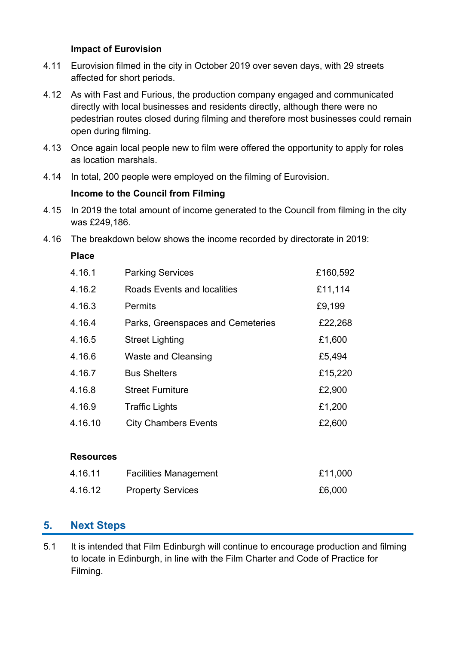### **Impact of Eurovision**

- 4.11 Eurovision filmed in the city in October 2019 over seven days, with 29 streets affected for short periods.
- 4.12 As with Fast and Furious, the production company engaged and communicated directly with local businesses and residents directly, although there were no pedestrian routes closed during filming and therefore most businesses could remain open during filming.
- 4.13 Once again local people new to film were offered the opportunity to apply for roles as location marshals.
- 4.14 In total, 200 people were employed on the filming of Eurovision.

### **Income to the Council from Filming**

- 4.15 In 2019 the total amount of income generated to the Council from filming in the city was £249,186.
- 4.16 The breakdown below shows the income recorded by directorate in 2019:

**Place** 

| 4.16.1           | <b>Parking Services</b>            | £160,592 |
|------------------|------------------------------------|----------|
| 4.16.2           | <b>Roads Events and localities</b> | £11,114  |
| 4.16.3           | <b>Permits</b>                     | £9,199   |
| 4.16.4           | Parks, Greenspaces and Cemeteries  | £22,268  |
| 4.16.5           | <b>Street Lighting</b>             | £1,600   |
| 4.16.6           | <b>Waste and Cleansing</b>         | £5,494   |
| 4.16.7           | <b>Bus Shelters</b>                | £15,220  |
| 4.16.8           | <b>Street Furniture</b>            | £2,900   |
| 4.16.9           | Traffic Lights                     | £1,200   |
| 4.16.10          | <b>City Chambers Events</b>        | £2,600   |
|                  |                                    |          |
| <b>Resources</b> |                                    |          |
| 4.16.11          | <b>Facilities Management</b>       | £11,000  |
| 4.16.12          | <b>Property Services</b>           | £6,000   |

## **5. Next Steps**

5.1 It is intended that Film Edinburgh will continue to encourage production and filming to locate in Edinburgh, in line with the Film Charter and Code of Practice for Filming.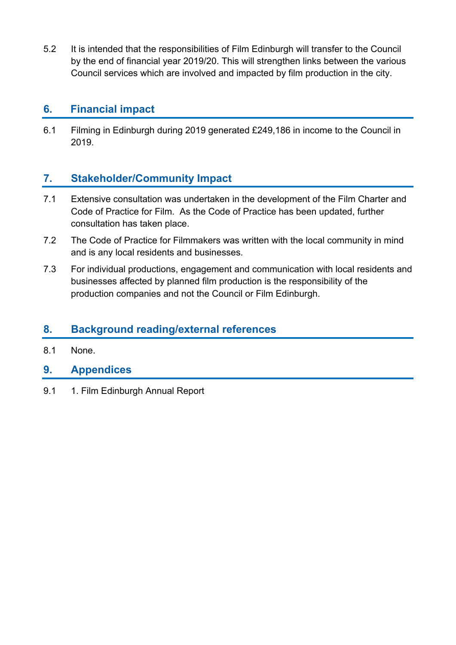5.2 It is intended that the responsibilities of Film Edinburgh will transfer to the Council by the end of financial year 2019/20. This will strengthen links between the various Council services which are involved and impacted by film production in the city.

## **6. Financial impact**

6.1 Filming in Edinburgh during 2019 generated £249,186 in income to the Council in 2019.

## **7. Stakeholder/Community Impact**

- 7.1 Extensive consultation was undertaken in the development of the Film Charter and Code of Practice for Film. As the Code of Practice has been updated, further consultation has taken place.
- 7.2 The Code of Practice for Filmmakers was written with the local community in mind and is any local residents and businesses.
- 7.3 For individual productions, engagement and communication with local residents and businesses affected by planned film production is the responsibility of the production companies and not the Council or Film Edinburgh.

## **8. Background reading/external references**

- 8.1 None.
- **9. Appendices**
- 9.1 1. Film Edinburgh Annual Report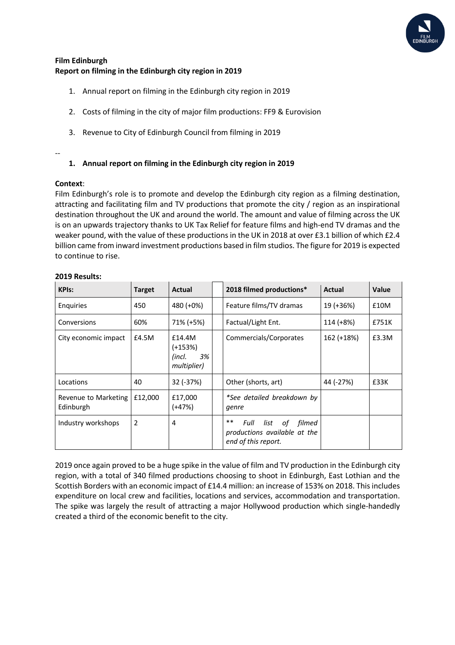

#### **Film Edinburgh Report on filming in the Edinburgh city region in 2019**

- 1. Annual report on filming in the Edinburgh city region in 2019
- 2. Costs of filming in the city of major film productions: FF9 & Eurovision
- 3. Revenue to City of Edinburgh Council from filming in 2019

#### --

#### **1. Annual report on filming in the Edinburgh city region in 2019**

#### **Context**:

Film Edinburgh's role is to promote and develop the Edinburgh city region as a filming destination, attracting and facilitating film and TV productions that promote the city / region as an inspirational destination throughout the UK and around the world. The amount and value of filming across the UK is on an upwards trajectory thanks to UK Tax Relief for feature films and high-end TV dramas and the weaker pound, with the value of these productions in the UK in 2018 at over £3.1 billion of which £2.4 billion came from inward investment productions based in film studios. The figure for 2019 is expected to continue to rise.

| <b>KPIs:</b>                      | <b>Target</b>  | Actual                                             | 2018 filmed productions*                                                               | Actual      | Value |
|-----------------------------------|----------------|----------------------------------------------------|----------------------------------------------------------------------------------------|-------------|-------|
| Enguiries                         | 450            | 480 (+0%)                                          | Feature films/TV dramas                                                                | 19 (+36%)   | £10M  |
| Conversions                       | 60%            | 71% (+5%)                                          | Factual/Light Ent.                                                                     | $114 (+8%)$ | £751K |
| City economic impact              | £4.5M          | £14.4M<br>$(+153%)$<br>3%<br>(incl.<br>multiplier) | Commercials/Corporates                                                                 | 162 (+18%)  | £3.3M |
| Locations                         | 40             | 32 (-37%)                                          | Other (shorts, art)                                                                    | 44 (-27%)   | £33K  |
| Revenue to Marketing<br>Edinburgh | £12,000        | £17,000<br>(+47%)                                  | *See detailed breakdown by<br>genre                                                    |             |       |
| Industry workshops                | $\overline{2}$ | 4                                                  | $***$<br>list of filmed<br>Full<br>productions available at the<br>end of this report. |             |       |

#### **2019 Results:**

2019 once again proved to be a huge spike in the value of film and TV production in the Edinburgh city region, with a total of 340 filmed productions choosing to shoot in Edinburgh, East Lothian and the Scottish Borders with an economic impact of £14.4 million: an increase of 153% on 2018. This includes expenditure on local crew and facilities, locations and services, accommodation and transportation. The spike was largely the result of attracting a major Hollywood production which single-handedly created a third of the economic benefit to the city.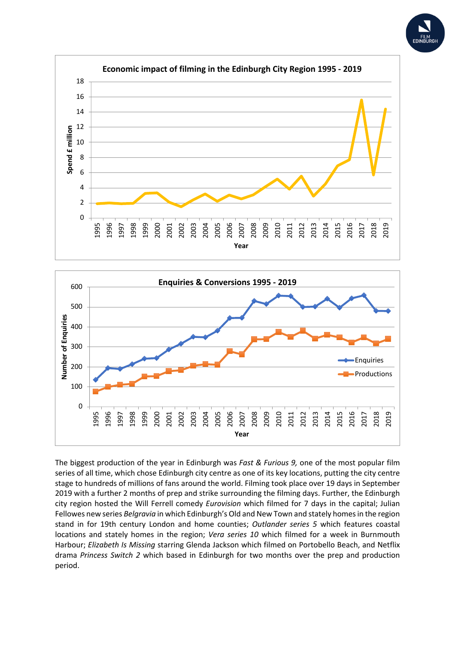





The biggest production of the year in Edinburgh was *Fast & Furious 9,* one of the most popular film series of all time, which chose Edinburgh city centre as one of its key locations, putting the city centre stage to hundreds of millions of fans around the world. Filming took place over 19 days in September 2019 with a further 2 months of prep and strike surrounding the filming days. Further, the Edinburgh city region hosted the Will Ferrell comedy *Eurovision* which filmed for 7 days in the capital; Julian Fellowes new series *Belgravia* in which Edinburgh's Old and New Town and stately homes in the region stand in for 19th century London and home counties; *Outlander series 5* which features coastal locations and stately homes in the region; *Vera series 10* which filmed for a week in Burnmouth Harbour; *Elizabeth Is Missing* starring Glenda Jackson which filmed on Portobello Beach, and Netflix drama *Princess Switch 2* which based in Edinburgh for two months over the prep and production period.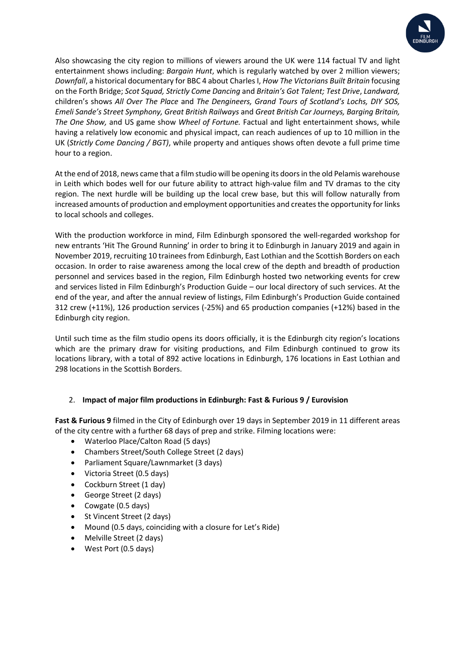

Also showcasing the city region to millions of viewers around the UK were 114 factual TV and light entertainment shows including: *Bargain Hunt*, which is regularly watched by over 2 million viewers; *Downfall*, a historical documentary for BBC 4 about CharlesI, *How The Victorians Built Britain* focusing on the Forth Bridge; *Scot Squad, Strictly Come Dancing* and *Britain's Got Talent; Test Drive*, *Landward,*  children's shows *All Over The Place* and *The Dengineers, Grand Tours of Scotland's Lochs, DIY SOS, Emeli Sande's Street Symphony, Great British Railways* and *Great British Car Journeys, Barging Britain, The One Show,* and US game show *Wheel of Fortune.* Factual and light entertainment shows, while having a relatively low economic and physical impact, can reach audiences of up to 10 million in the UK (*Strictly Come Dancing / BGT)*, while property and antiques shows often devote a full prime time hour to a region.

At the end of 2018, news came that a film studio will be opening its doors in the old Pelamis warehouse in Leith which bodes well for our future ability to attract high-value film and TV dramas to the city region. The next hurdle will be building up the local crew base, but this will follow naturally from increased amounts of production and employment opportunities and creates the opportunity for links to local schools and colleges.

With the production workforce in mind, Film Edinburgh sponsored the well-regarded workshop for new entrants 'Hit The Ground Running' in order to bring it to Edinburgh in January 2019 and again in November 2019, recruiting 10 trainees from Edinburgh, East Lothian and the Scottish Borders on each occasion. In order to raise awareness among the local crew of the depth and breadth of production personnel and services based in the region, Film Edinburgh hosted two networking events for crew and services listed in Film Edinburgh's Production Guide – our local directory of such services. At the end of the year, and after the annual review of listings, Film Edinburgh's Production Guide contained 312 crew (+11%), 126 production services (-25%) and 65 production companies (+12%) based in the Edinburgh city region.

Until such time as the film studio opens its doors officially, it is the Edinburgh city region's locations which are the primary draw for visiting productions, and Film Edinburgh continued to grow its locations library, with a total of 892 active locations in Edinburgh, 176 locations in East Lothian and 298 locations in the Scottish Borders.

#### 2. **Impact of major film productions in Edinburgh: Fast & Furious 9 / Eurovision**

**Fast & Furious 9** filmed in the City of Edinburgh over 19 days in September 2019 in 11 different areas of the city centre with a further 68 days of prep and strike. Filming locations were:

- Waterloo Place/Calton Road (5 days)
- Chambers Street/South College Street (2 days)
- Parliament Square/Lawnmarket (3 days)
- Victoria Street (0.5 days)
- Cockburn Street (1 day)
- George Street (2 days)
- Cowgate (0.5 days)
- St Vincent Street (2 days)
- Mound (0.5 days, coinciding with a closure for Let's Ride)
- Melville Street (2 days)
- West Port (0.5 days)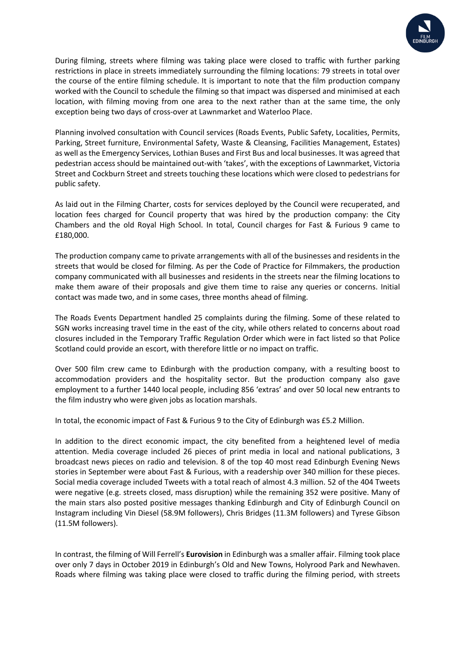

During filming, streets where filming was taking place were closed to traffic with further parking restrictions in place in streets immediately surrounding the filming locations: 79 streets in total over the course of the entire filming schedule. It is important to note that the film production company worked with the Council to schedule the filming so that impact was dispersed and minimised at each location, with filming moving from one area to the next rather than at the same time, the only exception being two days of cross-over at Lawnmarket and Waterloo Place.

Planning involved consultation with Council services (Roads Events, Public Safety, Localities, Permits, Parking, Street furniture, Environmental Safety, Waste & Cleansing, Facilities Management, Estates) as well as the Emergency Services, Lothian Buses and First Bus and local businesses. It was agreed that pedestrian access should be maintained out-with 'takes', with the exceptions of Lawnmarket, Victoria Street and Cockburn Street and streets touching these locations which were closed to pedestrians for public safety.

As laid out in the Filming Charter, costs for services deployed by the Council were recuperated, and location fees charged for Council property that was hired by the production company: the City Chambers and the old Royal High School. In total, Council charges for Fast & Furious 9 came to £180,000.

The production company came to private arrangements with all of the businesses and residents in the streets that would be closed for filming. As per the Code of Practice for Filmmakers, the production company communicated with all businesses and residents in the streets near the filming locations to make them aware of their proposals and give them time to raise any queries or concerns. Initial contact was made two, and in some cases, three months ahead of filming.

The Roads Events Department handled 25 complaints during the filming. Some of these related to SGN works increasing travel time in the east of the city, while others related to concerns about road closures included in the Temporary Traffic Regulation Order which were in fact listed so that Police Scotland could provide an escort, with therefore little or no impact on traffic.

Over 500 film crew came to Edinburgh with the production company, with a resulting boost to accommodation providers and the hospitality sector. But the production company also gave employment to a further 1440 local people, including 856 'extras' and over 50 local new entrants to the film industry who were given jobs as location marshals.

In total, the economic impact of Fast & Furious 9 to the City of Edinburgh was £5.2 Million.

In addition to the direct economic impact, the city benefited from a heightened level of media attention. Media coverage included 26 pieces of print media in local and national publications, 3 broadcast news pieces on radio and television. 8 of the top 40 most read Edinburgh Evening News stories in September were about Fast & Furious, with a readership over 340 million for these pieces. Social media coverage included Tweets with a total reach of almost 4.3 million. 52 of the 404 Tweets were negative (e.g. streets closed, mass disruption) while the remaining 352 were positive. Many of the main stars also posted positive messages thanking Edinburgh and City of Edinburgh Council on Instagram including Vin Diesel (58.9M followers), Chris Bridges (11.3M followers) and Tyrese Gibson (11.5M followers).

In contrast, the filming of Will Ferrell's **Eurovision** in Edinburgh was a smaller affair. Filming took place over only 7 days in October 2019 in Edinburgh's Old and New Towns, Holyrood Park and Newhaven. Roads where filming was taking place were closed to traffic during the filming period, with streets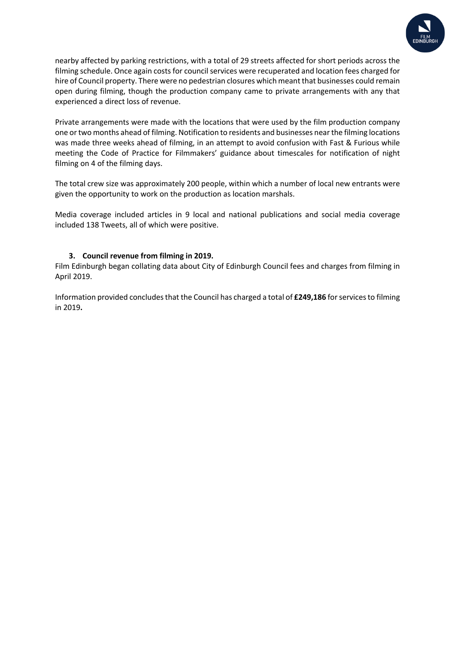

nearby affected by parking restrictions, with a total of 29 streets affected for short periods across the filming schedule. Once again costs for council services were recuperated and location fees charged for hire of Council property. There were no pedestrian closures which meant that businesses could remain open during filming, though the production company came to private arrangements with any that experienced a direct loss of revenue.

Private arrangements were made with the locations that were used by the film production company one or two months ahead of filming. Notification to residents and businesses near the filming locations was made three weeks ahead of filming, in an attempt to avoid confusion with Fast & Furious while meeting the Code of Practice for Filmmakers' guidance about timescales for notification of night filming on 4 of the filming days.

The total crew size was approximately 200 people, within which a number of local new entrants were given the opportunity to work on the production as location marshals.

Media coverage included articles in 9 local and national publications and social media coverage included 138 Tweets, all of which were positive.

#### **3. Council revenue from filming in 2019.**

Film Edinburgh began collating data about City of Edinburgh Council fees and charges from filming in April 2019.

Information provided concludes that the Council has charged a total of £249,186 for services to filming in 2019**.**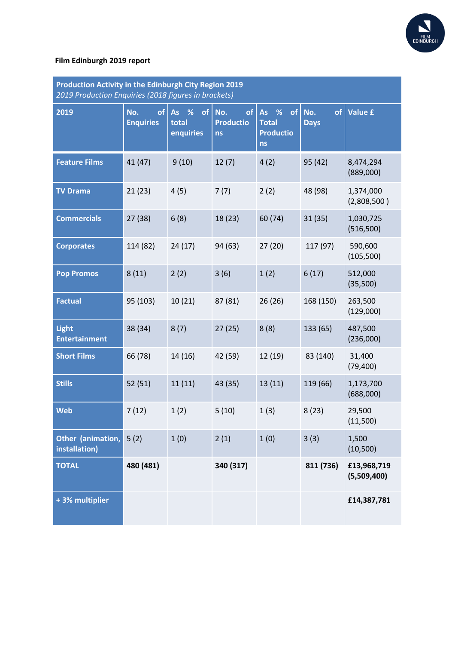

#### **Film Edinburgh 2019 report**

| Production Activity in the Edinburgh City Region 2019<br>2019 Production Enquiries (2018 figures in brackets) |                               |                                  |                                            |                                                      |                          |                            |
|---------------------------------------------------------------------------------------------------------------|-------------------------------|----------------------------------|--------------------------------------------|------------------------------------------------------|--------------------------|----------------------------|
| 2019                                                                                                          | of<br>No.<br><b>Enquiries</b> | As %<br>of<br>total<br>enquiries | No.<br>of<br><b>Productio</b><br><b>ns</b> | As %<br>of<br><b>Total</b><br><b>Productio</b><br>ns | of<br>No.<br><b>Days</b> | <b>Value £</b>             |
| <b>Feature Films</b>                                                                                          | 41 (47)                       | 9(10)                            | 12(7)                                      | 4(2)                                                 | 95 (42)                  | 8,474,294<br>(889,000)     |
| <b>TV Drama</b>                                                                                               | 21(23)                        | 4(5)                             | 7(7)                                       | 2(2)                                                 | 48 (98)                  | 1,374,000<br>(2,808,500)   |
| <b>Commercials</b>                                                                                            | 27 (38)                       | 6(8)                             | 18 (23)                                    | 60 (74)                                              | 31(35)                   | 1,030,725<br>(516,500)     |
| <b>Corporates</b>                                                                                             | 114 (82)                      | 24(17)                           | 94 (63)                                    | 27(20)                                               | 117 (97)                 | 590,600<br>(105, 500)      |
| <b>Pop Promos</b>                                                                                             | 8(11)                         | 2(2)                             | 3(6)                                       | 1(2)                                                 | 6(17)                    | 512,000<br>(35,500)        |
| <b>Factual</b>                                                                                                | 95 (103)                      | 10(21)                           | 87 (81)                                    | 26(26)                                               | 168 (150)                | 263,500<br>(129,000)       |
| <b>Light</b><br><b>Entertainment</b>                                                                          | 38 (34)                       | 8(7)                             | 27(25)                                     | 8(8)                                                 | 133 (65)                 | 487,500<br>(236,000)       |
| <b>Short Films</b>                                                                                            | 66 (78)                       | 14 (16)                          | 42 (59)                                    | 12 (19)                                              | 83 (140)                 | 31,400<br>(79, 400)        |
| <b>Stills</b>                                                                                                 | 52(51)                        | 11(11)                           | 43 (35)                                    | 13(11)                                               | 119 (66)                 | 1,173,700<br>(688,000)     |
| <b>Web</b>                                                                                                    | 7(12)                         | 1(2)                             | 5(10)                                      | 1(3)                                                 | 8(23)                    | 29,500<br>(11,500)         |
| Other (animation,<br>installation)                                                                            | 5(2)                          | 1(0)                             | 2(1)                                       | 1(0)                                                 | 3(3)                     | 1,500<br>(10, 500)         |
| <b>TOTAL</b>                                                                                                  | 480 (481)                     |                                  | 340 (317)                                  |                                                      | 811 (736)                | £13,968,719<br>(5,509,400) |
| +3% multiplier                                                                                                |                               |                                  |                                            |                                                      |                          | £14,387,781                |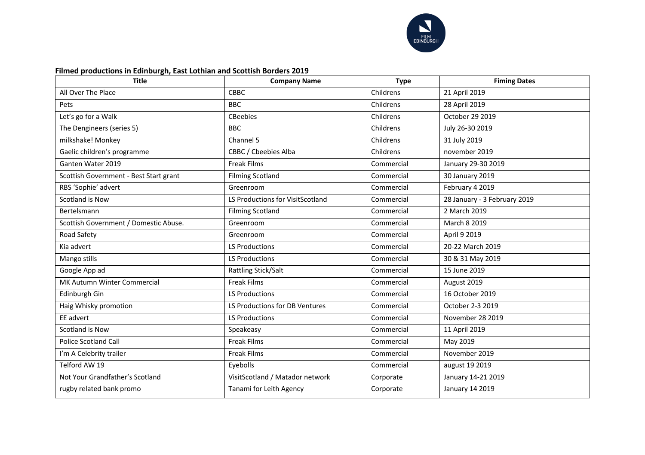

#### **Filmed productions in Edinburgh, East Lothian and Scottish Borders 2019**

| <b>Title</b>                           | <b>Company Name</b>              | <b>Type</b> | <b>Fiming Dates</b>          |
|----------------------------------------|----------------------------------|-------------|------------------------------|
| All Over The Place                     | <b>CBBC</b>                      | Childrens   | 21 April 2019                |
| Pets                                   | <b>BBC</b>                       | Childrens   | 28 April 2019                |
| Let's go for a Walk                    | <b>CBeebies</b>                  | Childrens   | October 29 2019              |
| The Dengineers (series 5)              | <b>BBC</b>                       | Childrens   | July 26-30 2019              |
| milkshake! Monkey                      | Channel 5                        | Childrens   | 31 July 2019                 |
| Gaelic children's programme            | CBBC / Cbeebies Alba             | Childrens   | november 2019                |
| Ganten Water 2019                      | <b>Freak Films</b>               | Commercial  | January 29-30 2019           |
| Scottish Government - Best Start grant | <b>Filming Scotland</b>          | Commercial  | 30 January 2019              |
| RBS 'Sophie' advert                    | Greenroom                        | Commercial  | February 4 2019              |
| Scotland is Now                        | LS Productions for VisitScotland | Commercial  | 28 January - 3 February 2019 |
| Bertelsmann                            | <b>Filming Scotland</b>          | Commercial  | 2 March 2019                 |
| Scottish Government / Domestic Abuse.  | Greenroom                        | Commercial  | March 8 2019                 |
| Road Safety                            | Greenroom                        | Commercial  | April 9 2019                 |
| Kia advert                             | <b>LS Productions</b>            | Commercial  | 20-22 March 2019             |
| Mango stills                           | <b>LS Productions</b>            | Commercial  | 30 & 31 May 2019             |
| Google App ad                          | Rattling Stick/Salt              | Commercial  | 15 June 2019                 |
| MK Autumn Winter Commercial            | <b>Freak Films</b>               | Commercial  | August 2019                  |
| Edinburgh Gin                          | <b>LS Productions</b>            | Commercial  | 16 October 2019              |
| Haig Whisky promotion                  | LS Productions for DB Ventures   | Commercial  | October 2-3 2019             |
| EE advert                              | <b>LS Productions</b>            | Commercial  | November 28 2019             |
| Scotland is Now                        | Speakeasy                        | Commercial  | 11 April 2019                |
| <b>Police Scotland Call</b>            | <b>Freak Films</b>               | Commercial  | May 2019                     |
| I'm A Celebrity trailer                | <b>Freak Films</b>               | Commercial  | November 2019                |
| Telford AW 19                          | Eyebolls                         | Commercial  | august 19 2019               |
| Not Your Grandfather's Scotland        | VisitScotland / Matador network  | Corporate   | January 14-21 2019           |
| rugby related bank promo               | Tanami for Leith Agency          | Corporate   | January 14 2019              |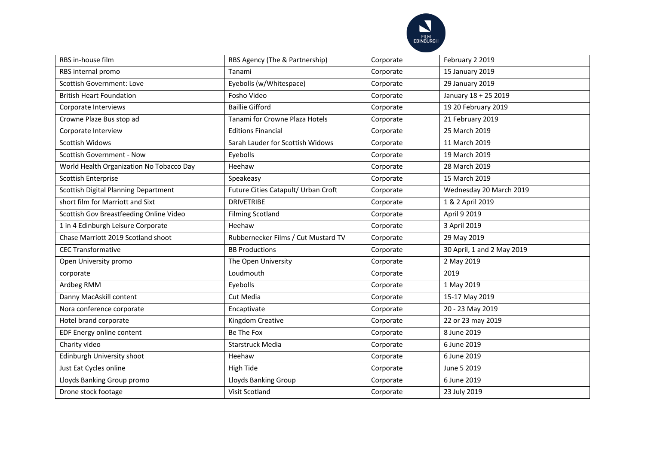

| RBS in-house film                        | RBS Agency (The & Partnership)      | Corporate | February 2 2019            |
|------------------------------------------|-------------------------------------|-----------|----------------------------|
| RBS internal promo                       | Tanami                              | Corporate | 15 January 2019            |
| Scottish Government: Love                | Eyebolls (w/Whitespace)             | Corporate | 29 January 2019            |
| <b>British Heart Foundation</b>          | Fosho Video                         | Corporate | January 18 + 25 2019       |
| Corporate Interviews                     | <b>Baillie Gifford</b>              | Corporate | 19 20 February 2019        |
| Crowne Plaze Bus stop ad                 | Tanami for Crowne Plaza Hotels      | Corporate | 21 February 2019           |
| Corporate Interview                      | <b>Editions Financial</b>           | Corporate | 25 March 2019              |
| Scottish Widows                          | Sarah Lauder for Scottish Widows    | Corporate | 11 March 2019              |
| Scottish Government - Now                | Eyebolls                            | Corporate | 19 March 2019              |
| World Health Organization No Tobacco Day | Heehaw                              | Corporate | 28 March 2019              |
| Scottish Enterprise                      | Speakeasy                           | Corporate | 15 March 2019              |
| Scottish Digital Planning Department     | Future Cities Catapult/ Urban Croft | Corporate | Wednesday 20 March 2019    |
| short film for Marriott and Sixt         | <b>DRIVETRIBE</b>                   | Corporate | 1 & 2 April 2019           |
| Scottish Gov Breastfeeding Online Video  | <b>Filming Scotland</b>             | Corporate | April 9 2019               |
| 1 in 4 Edinburgh Leisure Corporate       | Heehaw                              | Corporate | 3 April 2019               |
| Chase Marriott 2019 Scotland shoot       | Rubbernecker Films / Cut Mustard TV | Corporate | 29 May 2019                |
| <b>CEC Transformative</b>                | <b>BB Productions</b>               | Corporate | 30 April, 1 and 2 May 2019 |
| Open University promo                    | The Open University                 | Corporate | 2 May 2019                 |
| corporate                                | Loudmouth                           | Corporate | 2019                       |
| Ardbeg RMM                               | Eyebolls                            | Corporate | 1 May 2019                 |
| Danny MacAskill content                  | Cut Media                           | Corporate | 15-17 May 2019             |
| Nora conference corporate                | Encaptivate                         | Corporate | 20 - 23 May 2019           |
| Hotel brand corporate                    | Kingdom Creative                    | Corporate | 22 or 23 may 2019          |
| EDF Energy online content                | Be The Fox                          | Corporate | 8 June 2019                |
| Charity video                            | Starstruck Media                    | Corporate | 6 June 2019                |
| Edinburgh University shoot               | Heehaw                              | Corporate | 6 June 2019                |
| Just Eat Cycles online                   | High Tide                           | Corporate | June 5 2019                |
| Lloyds Banking Group promo               | Lloyds Banking Group                | Corporate | 6 June 2019                |
| Drone stock footage                      | Visit Scotland                      | Corporate | 23 July 2019               |
|                                          |                                     |           |                            |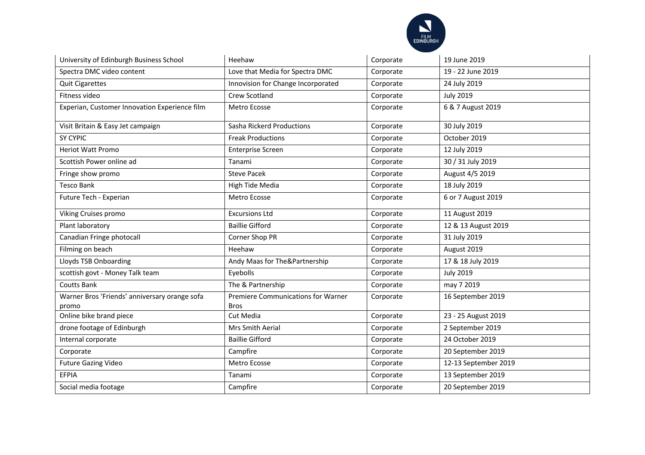

| University of Edinburgh Business School                | Heehaw                                                   | Corporate | 19 June 2019         |
|--------------------------------------------------------|----------------------------------------------------------|-----------|----------------------|
| Spectra DMC video content                              | Love that Media for Spectra DMC                          | Corporate | 19 - 22 June 2019    |
| <b>Quit Cigarettes</b>                                 | Innovision for Change Incorporated                       | Corporate | 24 July 2019         |
| Fitness video                                          | Crew Scotland                                            | Corporate | <b>July 2019</b>     |
| Experian, Customer Innovation Experience film          | Metro Ecosse                                             | Corporate | 6 & 7 August 2019    |
| Visit Britain & Easy Jet campaign                      | Sasha Rickerd Productions                                | Corporate | 30 July 2019         |
| <b>SY CYPIC</b>                                        | <b>Freak Productions</b>                                 | Corporate | October 2019         |
| <b>Heriot Watt Promo</b>                               | <b>Enterprise Screen</b>                                 | Corporate | 12 July 2019         |
| Scottish Power online ad                               | Tanami                                                   | Corporate | 30 / 31 July 2019    |
| Fringe show promo                                      | <b>Steve Pacek</b>                                       | Corporate | August 4/5 2019      |
| <b>Tesco Bank</b>                                      | High Tide Media                                          | Corporate | 18 July 2019         |
| Future Tech - Experian                                 | Metro Ecosse                                             | Corporate | 6 or 7 August 2019   |
| Viking Cruises promo                                   | <b>Excursions Ltd</b>                                    | Corporate | 11 August 2019       |
| Plant laboratory                                       | <b>Baillie Gifford</b>                                   | Corporate | 12 & 13 August 2019  |
| Canadian Fringe photocall                              | Corner Shop PR                                           | Corporate | 31 July 2019         |
| Filming on beach                                       | Heehaw                                                   | Corporate | August 2019          |
| Lloyds TSB Onboarding                                  | Andy Maas for The&Partnership                            | Corporate | 17 & 18 July 2019    |
| scottish govt - Money Talk team                        | Eyebolls                                                 | Corporate | <b>July 2019</b>     |
| <b>Coutts Bank</b>                                     | The & Partnership                                        | Corporate | may 7 2019           |
| Warner Bros 'Friends' anniversary orange sofa<br>promo | <b>Premiere Communications for Warner</b><br><b>Bros</b> | Corporate | 16 September 2019    |
| Online bike brand piece                                | Cut Media                                                | Corporate | 23 - 25 August 2019  |
| drone footage of Edinburgh                             | Mrs Smith Aerial                                         | Corporate | 2 September 2019     |
| Internal corporate                                     | <b>Baillie Gifford</b>                                   | Corporate | 24 October 2019      |
| Corporate                                              | Campfire                                                 | Corporate | 20 September 2019    |
| <b>Future Gazing Video</b>                             | Metro Ecosse                                             | Corporate | 12-13 September 2019 |
| <b>EFPIA</b>                                           | Tanami                                                   | Corporate | 13 September 2019    |
| Social media footage                                   | Campfire                                                 | Corporate | 20 September 2019    |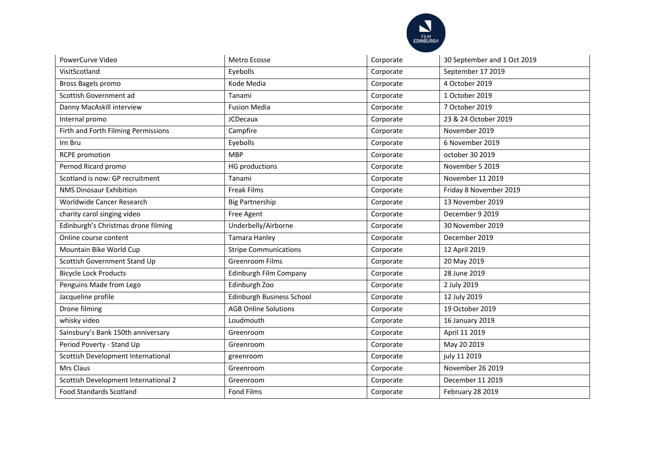

| PowerCurve Video                     | Metro Ecosse                 | Corporate | 30 September and 1 Oct 2019 |
|--------------------------------------|------------------------------|-----------|-----------------------------|
| VisitScotland                        | Eyebolls                     | Corporate | September 17 2019           |
| Bross Bagels promo                   | Kode Media                   | Corporate | 4 October 2019              |
| Scottish Government ad               | Tanami                       | Corporate | 1 October 2019              |
| Danny MacAskill interview            | <b>Fusion Media</b>          | Corporate | 7 October 2019              |
| Internal promo                       | <b>JCDecaux</b>              | Corporate | 23 & 24 October 2019        |
| Firth and Forth Filming Permissions  | Campfire                     | Corporate | November 2019               |
| Irn Bru                              | Eyebolls                     | Corporate | 6 November 2019             |
| <b>RCPE</b> promotion                | <b>MBP</b>                   | Corporate | october 30 2019             |
| Pernod Ricard promo                  | <b>HG</b> productions        | Corporate | November 5 2019             |
| Scotland is now: GP recruitment      | Tanami                       | Corporate | November 11 2019            |
| <b>NMS Dinosaur Exhibition</b>       | <b>Freak Films</b>           | Corporate | Friday 8 November 2019      |
| Worldwide Cancer Research            | <b>Big Partnership</b>       | Corporate | 13 November 2019            |
| charity carol singing video          | Free Agent                   | Corporate | December 9 2019             |
| Edinburgh's Christmas drone filming  | Underbelly/Airborne          | Corporate | 30 November 2019            |
| Online course content                | Tamara Hanley                | Corporate | December 2019               |
| Mountain Bike World Cup              | <b>Stripe Communications</b> | Corporate | 12 April 2019               |
| Scottish Government Stand Up         | <b>Greenroom Films</b>       | Corporate | 20 May 2019                 |
| <b>Bicycle Lock Products</b>         | Edinburgh Film Company       | Corporate | 28 June 2019                |
| Penguins Made from Lego              | Edinburgh Zoo                | Corporate | 2 July 2019                 |
| Jacqueline profile                   | Edinburgh Business School    | Corporate | 12 July 2019                |
| Drone filming                        | <b>AGB Online Solutions</b>  | Corporate | 19 October 2019             |
| whisky video                         | Loudmouth                    | Corporate | 16 January 2019             |
| Sainsbury's Bank 150th anniversary   | Greenroom                    | Corporate | April 11 2019               |
| Period Poverty - Stand Up            | Greenroom                    | Corporate | May 20 2019                 |
| Scottish Development International   | greenroom                    | Corporate | july 11 2019                |
| Mrs Claus                            | Greenroom                    | Corporate | November 26 2019            |
| Scottish Development International 2 | Greenroom                    | Corporate | December 11 2019            |
| <b>Food Standards Scotland</b>       | <b>Fond Films</b>            | Corporate | February 28 2019            |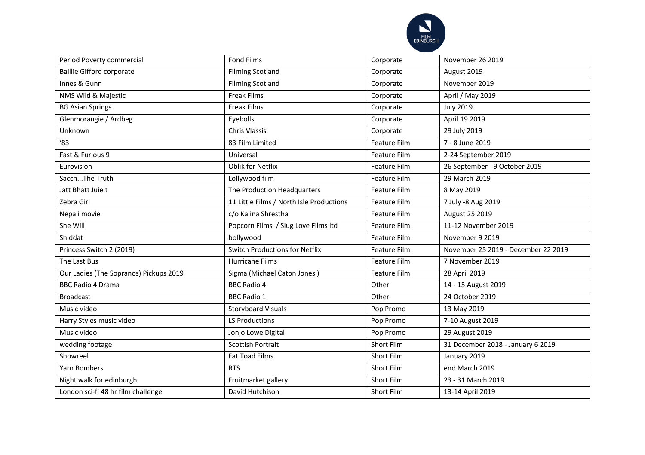

| Period Poverty commercial              | <b>Fond Films</b>                        | Corporate           | November 26 2019                    |
|----------------------------------------|------------------------------------------|---------------------|-------------------------------------|
| <b>Baillie Gifford corporate</b>       | <b>Filming Scotland</b>                  | Corporate           | August 2019                         |
| Innes & Gunn                           | <b>Filming Scotland</b>                  | Corporate           | November 2019                       |
| NMS Wild & Majestic                    | <b>Freak Films</b>                       | Corporate           | April / May 2019                    |
| <b>BG Asian Springs</b>                | <b>Freak Films</b>                       | Corporate           | <b>July 2019</b>                    |
| Glenmorangie / Ardbeg                  | Eyebolls                                 | Corporate           | April 19 2019                       |
| Unknown                                | <b>Chris Vlassis</b>                     | Corporate           | 29 July 2019                        |
| '83                                    | 83 Film Limited                          | Feature Film        | 7 - 8 June 2019                     |
| Fast & Furious 9                       | Universal                                | Feature Film        | 2-24 September 2019                 |
| Eurovision                             | Oblik for Netflix                        | Feature Film        | 26 September - 9 October 2019       |
| SacchThe Truth                         | Lollywood film                           | Feature Film        | 29 March 2019                       |
| Jatt Bhatt Juielt                      | The Production Headquarters              | Feature Film        | 8 May 2019                          |
| Zebra Girl                             | 11 Little Films / North Isle Productions | <b>Feature Film</b> | 7 July -8 Aug 2019                  |
| Nepali movie                           | c/o Kalina Shrestha                      | Feature Film        | August 25 2019                      |
| She Will                               | Popcorn Films / Slug Love Films Itd      | Feature Film        | 11-12 November 2019                 |
| Shiddat                                | bollywood                                | Feature Film        | November 9 2019                     |
| Princess Switch 2 (2019)               | <b>Switch Productions for Netflix</b>    | Feature Film        | November 25 2019 - December 22 2019 |
| The Last Bus                           | <b>Hurricane Films</b>                   | <b>Feature Film</b> | 7 November 2019                     |
| Our Ladies (The Sopranos) Pickups 2019 | Sigma (Michael Caton Jones)              | Feature Film        | 28 April 2019                       |
| <b>BBC Radio 4 Drama</b>               | <b>BBC Radio 4</b>                       | Other               | 14 - 15 August 2019                 |
| <b>Broadcast</b>                       | <b>BBC Radio 1</b>                       | Other               | 24 October 2019                     |
| Music video                            | <b>Storyboard Visuals</b>                | Pop Promo           | 13 May 2019                         |
| Harry Styles music video               | LS Productions                           | Pop Promo           | 7-10 August 2019                    |
| Music video                            | Jonjo Lowe Digital                       | Pop Promo           | 29 August 2019                      |
| wedding footage                        | <b>Scottish Portrait</b>                 | Short Film          | 31 December 2018 - January 6 2019   |
| Showreel                               | <b>Fat Toad Films</b>                    | Short Film          | January 2019                        |
| Yarn Bombers                           | <b>RTS</b>                               | Short Film          | end March 2019                      |
| Night walk for edinburgh               | Fruitmarket gallery                      | Short Film          | 23 - 31 March 2019                  |
| London sci-fi 48 hr film challenge     | David Hutchison                          | Short Film          | 13-14 April 2019                    |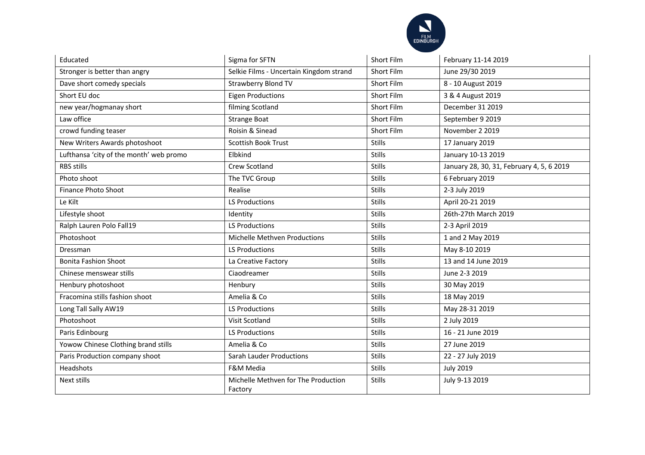

| Educated                                | Sigma for SFTN                                 | <b>Short Film</b> | February 11-14 2019                       |
|-----------------------------------------|------------------------------------------------|-------------------|-------------------------------------------|
| Stronger is better than angry           | Selkie Films - Uncertain Kingdom strand        | <b>Short Film</b> | June 29/30 2019                           |
| Dave short comedy specials              | <b>Strawberry Blond TV</b>                     | Short Film        | 8 - 10 August 2019                        |
| Short EU doc                            | <b>Eigen Productions</b>                       | Short Film        | 3 & 4 August 2019                         |
| new year/hogmanay short                 | filming Scotland                               | <b>Short Film</b> | December 31 2019                          |
| Law office                              | <b>Strange Boat</b>                            | <b>Short Film</b> | September 9 2019                          |
| crowd funding teaser                    | Roisin & Sinead                                | Short Film        | November 2 2019                           |
| New Writers Awards photoshoot           | Scottish Book Trust                            | <b>Stills</b>     | 17 January 2019                           |
| Lufthansa 'city of the month' web promo | Elbkind                                        | <b>Stills</b>     | January 10-13 2019                        |
| <b>RBS stills</b>                       | Crew Scotland                                  | <b>Stills</b>     | January 28, 30, 31, February 4, 5, 6 2019 |
| Photo shoot                             | The TVC Group                                  | <b>Stills</b>     | 6 February 2019                           |
| <b>Finance Photo Shoot</b>              | Realise                                        | <b>Stills</b>     | 2-3 July 2019                             |
| Le Kilt                                 | <b>LS Productions</b>                          | <b>Stills</b>     | April 20-21 2019                          |
| Lifestyle shoot                         | Identity                                       | <b>Stills</b>     | 26th-27th March 2019                      |
| Ralph Lauren Polo Fall19                | <b>LS Productions</b>                          | <b>Stills</b>     | 2-3 April 2019                            |
| Photoshoot                              | Michelle Methven Productions                   | <b>Stills</b>     | 1 and 2 May 2019                          |
| Dressman                                | <b>LS Productions</b>                          | <b>Stills</b>     | May 8-10 2019                             |
| <b>Bonita Fashion Shoot</b>             | La Creative Factory                            | <b>Stills</b>     | 13 and 14 June 2019                       |
| Chinese menswear stills                 | Ciaodreamer                                    | <b>Stills</b>     | June 2-3 2019                             |
| Henbury photoshoot                      | Henbury                                        | <b>Stills</b>     | 30 May 2019                               |
| Fracomina stills fashion shoot          | Amelia & Co                                    | <b>Stills</b>     | 18 May 2019                               |
| Long Tall Sally AW19                    | LS Productions                                 | <b>Stills</b>     | May 28-31 2019                            |
| Photoshoot                              | Visit Scotland                                 | <b>Stills</b>     | 2 July 2019                               |
| Paris Edinbourg                         | <b>LS Productions</b>                          | <b>Stills</b>     | 16 - 21 June 2019                         |
| Yowow Chinese Clothing brand stills     | Amelia & Co                                    | <b>Stills</b>     | 27 June 2019                              |
| Paris Production company shoot          | <b>Sarah Lauder Productions</b>                | <b>Stills</b>     | 22 - 27 July 2019                         |
| Headshots                               | F&M Media                                      | <b>Stills</b>     | <b>July 2019</b>                          |
| Next stills                             | Michelle Methven for The Production<br>Factory | <b>Stills</b>     | July 9-13 2019                            |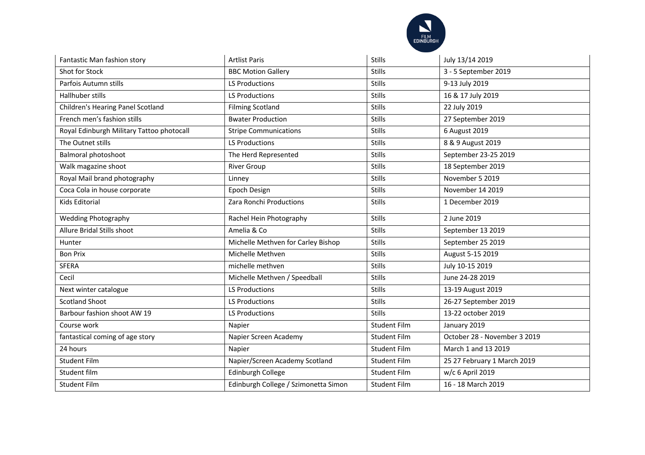

| Fantastic Man fashion story               | <b>Artlist Paris</b>                 | <b>Stills</b>       | July 13/14 2019              |
|-------------------------------------------|--------------------------------------|---------------------|------------------------------|
| Shot for Stock                            | <b>BBC Motion Gallery</b>            | <b>Stills</b>       | 3 - 5 September 2019         |
| Parfois Autumn stills                     | <b>LS Productions</b>                | <b>Stills</b>       | 9-13 July 2019               |
| Hallhuber stills                          | <b>LS Productions</b>                | <b>Stills</b>       | 16 & 17 July 2019            |
| Children's Hearing Panel Scotland         | <b>Filming Scotland</b>              | <b>Stills</b>       | 22 July 2019                 |
| French men's fashion stills               | <b>Bwater Production</b>             | <b>Stills</b>       | 27 September 2019            |
| Royal Edinburgh Military Tattoo photocall | <b>Stripe Communications</b>         | <b>Stills</b>       | 6 August 2019                |
| The Outnet stills                         | <b>LS Productions</b>                | <b>Stills</b>       | 8 & 9 August 2019            |
| Balmoral photoshoot                       | The Herd Represented                 | <b>Stills</b>       | September 23-25 2019         |
| Walk magazine shoot                       | <b>River Group</b>                   | <b>Stills</b>       | 18 September 2019            |
| Royal Mail brand photography              | Linney                               | <b>Stills</b>       | November 5 2019              |
| Coca Cola in house corporate              | Epoch Design                         | <b>Stills</b>       | November 14 2019             |
| <b>Kids Editorial</b>                     | Zara Ronchi Productions              | <b>Stills</b>       | 1 December 2019              |
| <b>Wedding Photography</b>                | Rachel Hein Photography              | <b>Stills</b>       | 2 June 2019                  |
| Allure Bridal Stills shoot                | Amelia & Co                          | <b>Stills</b>       | September 13 2019            |
| Hunter                                    | Michelle Methven for Carley Bishop   | <b>Stills</b>       | September 25 2019            |
| <b>Bon Prix</b>                           | Michelle Methven                     | <b>Stills</b>       | August 5-15 2019             |
| <b>SFERA</b>                              | michelle methven                     | <b>Stills</b>       | July 10-15 2019              |
| Cecil                                     | Michelle Methven / Speedball         | <b>Stills</b>       | June 24-28 2019              |
| Next winter catalogue                     | <b>LS Productions</b>                | <b>Stills</b>       | 13-19 August 2019            |
| <b>Scotland Shoot</b>                     | <b>LS Productions</b>                | <b>Stills</b>       | 26-27 September 2019         |
| Barbour fashion shoot AW 19               | <b>LS Productions</b>                | <b>Stills</b>       | 13-22 october 2019           |
| Course work                               | Napier                               | Student Film        | January 2019                 |
| fantastical coming of age story           | Napier Screen Academy                | <b>Student Film</b> | October 28 - November 3 2019 |
| 24 hours                                  | Napier                               | <b>Student Film</b> | March 1 and 13 2019          |
| <b>Student Film</b>                       | Napier/Screen Academy Scotland       | <b>Student Film</b> | 25 27 February 1 March 2019  |
| Student film                              | <b>Edinburgh College</b>             | <b>Student Film</b> | w/c 6 April 2019             |
| <b>Student Film</b>                       | Edinburgh College / Szimonetta Simon | <b>Student Film</b> | 16 - 18 March 2019           |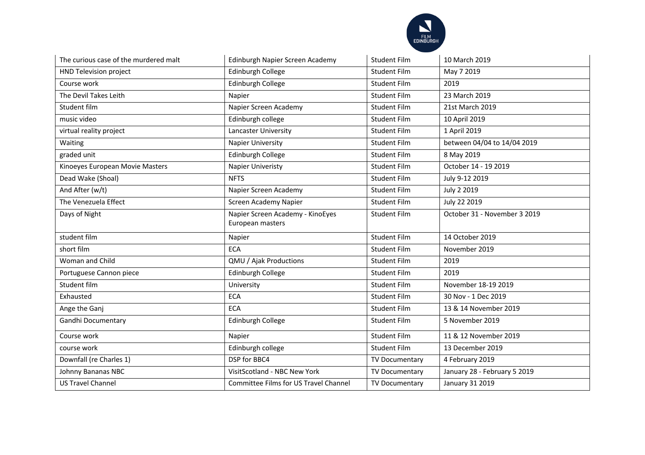

| The curious case of the murdered malt | Edinburgh Napier Screen Academy                      | <b>Student Film</b> | 10 March 2019                |
|---------------------------------------|------------------------------------------------------|---------------------|------------------------------|
| HND Television project                | Edinburgh College                                    | <b>Student Film</b> | May 7 2019                   |
| Course work                           | Edinburgh College                                    | <b>Student Film</b> | 2019                         |
| The Devil Takes Leith                 | Napier                                               | <b>Student Film</b> | 23 March 2019                |
| Student film                          | Napier Screen Academy                                | <b>Student Film</b> | 21st March 2019              |
| music video                           | Edinburgh college                                    | <b>Student Film</b> | 10 April 2019                |
| virtual reality project               | Lancaster University                                 | Student Film        | 1 April 2019                 |
| Waiting                               | Napier University                                    | Student Film        | between 04/04 to 14/04 2019  |
| graded unit                           | Edinburgh College                                    | <b>Student Film</b> | 8 May 2019                   |
| Kinoeyes European Movie Masters       | Napier Univeristy                                    | <b>Student Film</b> | October 14 - 19 2019         |
| Dead Wake (Shoal)                     | <b>NFTS</b>                                          | <b>Student Film</b> | July 9-12 2019               |
| And After (w/t)                       | Napier Screen Academy                                | <b>Student Film</b> | July 2 2019                  |
| The Venezuela Effect                  | Screen Academy Napier                                | <b>Student Film</b> | July 22 2019                 |
| Days of Night                         | Napier Screen Academy - KinoEyes<br>European masters | <b>Student Film</b> | October 31 - November 3 2019 |
| student film                          | Napier                                               | <b>Student Film</b> | 14 October 2019              |
| short film                            | <b>ECA</b>                                           | <b>Student Film</b> | November 2019                |
| Woman and Child                       | QMU / Ajak Productions                               | <b>Student Film</b> | 2019                         |
| Portuguese Cannon piece               | Edinburgh College                                    | <b>Student Film</b> | 2019                         |
| Student film                          | University                                           | <b>Student Film</b> | November 18-19 2019          |
| Exhausted                             | <b>ECA</b>                                           | Student Film        | 30 Nov - 1 Dec 2019          |
| Ange the Ganj                         | <b>ECA</b>                                           | <b>Student Film</b> | 13 & 14 November 2019        |
| Gandhi Documentary                    | Edinburgh College                                    | <b>Student Film</b> | 5 November 2019              |
| Course work                           | Napier                                               | <b>Student Film</b> | 11 & 12 November 2019        |
| course work                           | Edinburgh college                                    | <b>Student Film</b> | 13 December 2019             |
| Downfall (re Charles 1)               | DSP for BBC4                                         | TV Documentary      | 4 February 2019              |
| Johnny Bananas NBC                    | VisitScotland - NBC New York                         | TV Documentary      | January 28 - February 5 2019 |
| <b>US Travel Channel</b>              | Committee Films for US Travel Channel                | TV Documentary      | January 31 2019              |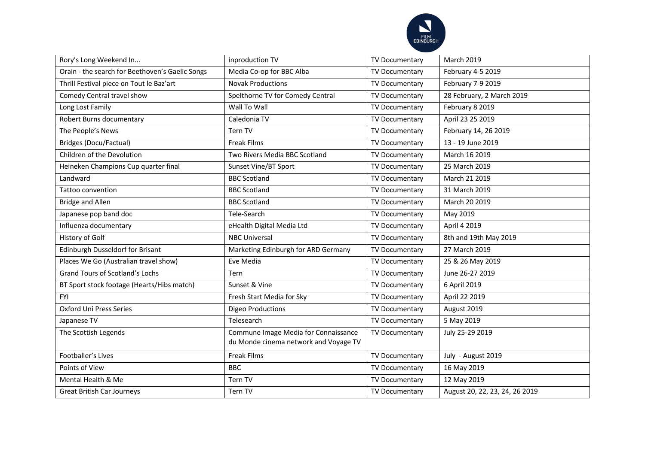

| Rory's Long Weekend In                          | inproduction TV                                                               | TV Documentary        | March 2019                     |
|-------------------------------------------------|-------------------------------------------------------------------------------|-----------------------|--------------------------------|
| Orain - the search for Beethoven's Gaelic Songs | Media Co-op for BBC Alba                                                      | TV Documentary        | February 4-5 2019              |
| Thrill Festival piece on Tout le Baz'art        | <b>Novak Productions</b>                                                      | TV Documentary        | February 7-9 2019              |
| Comedy Central travel show                      | Spelthorne TV for Comedy Central                                              | TV Documentary        | 28 February, 2 March 2019      |
| Long Lost Family                                | Wall To Wall                                                                  | TV Documentary        | February 8 2019                |
| Robert Burns documentary                        | Caledonia TV                                                                  | TV Documentary        | April 23 25 2019               |
| The People's News                               | Tern TV                                                                       | TV Documentary        | February 14, 26 2019           |
| <b>Bridges (Docu/Factual)</b>                   | <b>Freak Films</b>                                                            | TV Documentary        | 13 - 19 June 2019              |
| Children of the Devolution                      | Two Rivers Media BBC Scotland                                                 | TV Documentary        | March 16 2019                  |
| Heineken Champions Cup quarter final            | Sunset Vine/BT Sport                                                          | TV Documentary        | 25 March 2019                  |
| Landward                                        | <b>BBC Scotland</b>                                                           | TV Documentary        | March 21 2019                  |
| Tattoo convention                               | <b>BBC Scotland</b>                                                           | TV Documentary        | 31 March 2019                  |
| <b>Bridge and Allen</b>                         | <b>BBC Scotland</b>                                                           | TV Documentary        | March 20 2019                  |
| Japanese pop band doc                           | Tele-Search                                                                   | TV Documentary        | May 2019                       |
| Influenza documentary                           | eHealth Digital Media Ltd                                                     | TV Documentary        | April 4 2019                   |
| History of Golf                                 | <b>NBC Universal</b>                                                          | TV Documentary        | 8th and 19th May 2019          |
| <b>Edinburgh Dusseldorf for Brisant</b>         | Marketing Edinburgh for ARD Germany                                           | TV Documentary        | 27 March 2019                  |
| Places We Go (Australian travel show)           | Eve Media                                                                     | TV Documentary        | 25 & 26 May 2019               |
| <b>Grand Tours of Scotland's Lochs</b>          | <b>Tern</b>                                                                   | TV Documentary        | June 26-27 2019                |
| BT Sport stock footage (Hearts/Hibs match)      | Sunset & Vine                                                                 | TV Documentary        | 6 April 2019                   |
| <b>FYI</b>                                      | Fresh Start Media for Sky                                                     | TV Documentary        | April 22 2019                  |
| <b>Oxford Uni Press Series</b>                  | <b>Digeo Productions</b>                                                      | TV Documentary        | August 2019                    |
| Japanese TV                                     | Telesearch                                                                    | TV Documentary        | 5 May 2019                     |
| The Scottish Legends                            | Commune Image Media for Connaissance<br>du Monde cinema network and Voyage TV | TV Documentary        | July 25-29 2019                |
|                                                 |                                                                               |                       |                                |
| Footballer's Lives                              | <b>Freak Films</b>                                                            | TV Documentary        | July - August 2019             |
| Points of View                                  | <b>BBC</b>                                                                    | <b>TV Documentary</b> | 16 May 2019                    |
| Mental Health & Me                              | Tern TV                                                                       | TV Documentary        | 12 May 2019                    |
| <b>Great British Car Journeys</b>               | Tern TV                                                                       | TV Documentary        | August 20, 22, 23, 24, 26 2019 |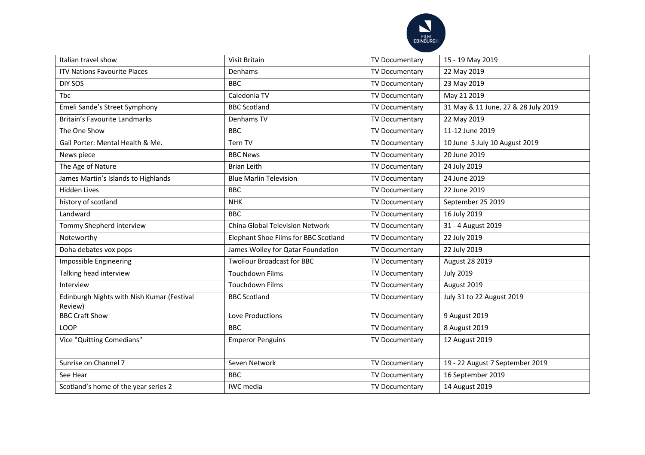

| Italian travel show                                   | Visit Britain                        | TV Documentary        | 15 - 19 May 2019                    |
|-------------------------------------------------------|--------------------------------------|-----------------------|-------------------------------------|
| <b>ITV Nations Favourite Places</b>                   | Denhams                              | TV Documentary        | 22 May 2019                         |
| DIY SOS                                               | <b>BBC</b>                           | TV Documentary        | 23 May 2019                         |
| <b>Thc</b>                                            | Caledonia TV                         | <b>TV Documentary</b> | May 21 2019                         |
| Emeli Sande's Street Symphony                         | <b>BBC Scotland</b>                  | TV Documentary        | 31 May & 11 June, 27 & 28 July 2019 |
| Britain's Favourite Landmarks                         | Denhams TV                           | <b>TV Documentary</b> | 22 May 2019                         |
| The One Show                                          | <b>BBC</b>                           | TV Documentary        | 11-12 June 2019                     |
| Gail Porter: Mental Health & Me.                      | Tern TV                              | TV Documentary        | 10 June 5 July 10 August 2019       |
| News piece                                            | <b>BBC News</b>                      | TV Documentary        | 20 June 2019                        |
| The Age of Nature                                     | <b>Brian Leith</b>                   | TV Documentary        | 24 July 2019                        |
| James Martin's Islands to Highlands                   | <b>Blue Marlin Television</b>        | TV Documentary        | 24 June 2019                        |
| <b>Hidden Lives</b>                                   | <b>BBC</b>                           | TV Documentary        | 22 June 2019                        |
| history of scotland                                   | <b>NHK</b>                           | <b>TV Documentary</b> | September 25 2019                   |
| Landward                                              | <b>BBC</b>                           | TV Documentary        | 16 July 2019                        |
| Tommy Shepherd interview                              | China Global Television Network      | <b>TV Documentary</b> | 31 - 4 August 2019                  |
| Noteworthy                                            | Elephant Shoe Films for BBC Scotland | TV Documentary        | 22 July 2019                        |
| Doha debates vox pops                                 | James Wolley for Qatar Foundation    | TV Documentary        | 22 July 2019                        |
| Impossible Engineering                                | <b>TwoFour Broadcast for BBC</b>     | TV Documentary        | August 28 2019                      |
| Talking head interview                                | <b>Touchdown Films</b>               | TV Documentary        | <b>July 2019</b>                    |
| Interview                                             | Touchdown Films                      | <b>TV Documentary</b> | August 2019                         |
| Edinburgh Nights with Nish Kumar (Festival<br>Review) | <b>BBC Scotland</b>                  | TV Documentary        | July 31 to 22 August 2019           |
| <b>BBC Craft Show</b>                                 | Love Productions                     | TV Documentary        | 9 August 2019                       |
| <b>LOOP</b>                                           | <b>BBC</b>                           | <b>TV Documentary</b> | 8 August 2019                       |
| Vice "Quitting Comedians"                             | <b>Emperor Penguins</b>              | <b>TV Documentary</b> | 12 August 2019                      |
| Sunrise on Channel 7                                  | Seven Network                        | TV Documentary        | 19 - 22 August 7 September 2019     |
| See Hear                                              | <b>BBC</b>                           | TV Documentary        | 16 September 2019                   |
| Scotland's home of the year series 2                  | IWC media                            | TV Documentary        | 14 August 2019                      |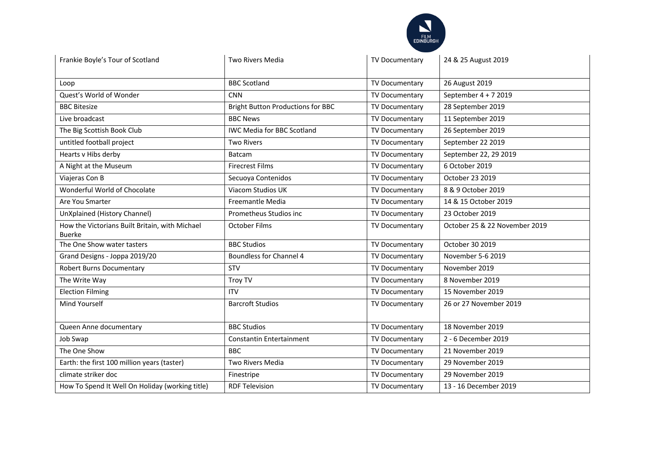

| Frankie Boyle's Tour of Scotland                                | <b>Two Rivers Media</b>                  | TV Documentary | 24 & 25 August 2019           |
|-----------------------------------------------------------------|------------------------------------------|----------------|-------------------------------|
| Loop                                                            | <b>BBC Scotland</b>                      | TV Documentary | 26 August 2019                |
| Quest's World of Wonder                                         | <b>CNN</b>                               | TV Documentary | September 4 + 7 2019          |
| <b>BBC Bitesize</b>                                             | <b>Bright Button Productions for BBC</b> | TV Documentary | 28 September 2019             |
| Live broadcast                                                  | <b>BBC News</b>                          | TV Documentary | 11 September 2019             |
| The Big Scottish Book Club                                      | <b>IWC Media for BBC Scotland</b>        | TV Documentary | 26 September 2019             |
| untitled football project                                       | <b>Two Rivers</b>                        | TV Documentary | September 22 2019             |
| Hearts v Hibs derby                                             | Batcam                                   | TV Documentary | September 22, 29 2019         |
| A Night at the Museum                                           | <b>Firecrest Films</b>                   | TV Documentary | 6 October 2019                |
| Viajeras Con B                                                  | Secuoya Contenidos                       | TV Documentary | October 23 2019               |
| Wonderful World of Chocolate                                    | Viacom Studios UK                        | TV Documentary | 8 & 9 October 2019            |
| Are You Smarter                                                 | Freemantle Media                         | TV Documentary | 14 & 15 October 2019          |
| UnXplained (History Channel)                                    | Prometheus Studios inc                   | TV Documentary | 23 October 2019               |
| How the Victorians Built Britain, with Michael<br><b>Buerke</b> | <b>October Films</b>                     | TV Documentary | October 25 & 22 November 2019 |
| The One Show water tasters                                      | <b>BBC Studios</b>                       | TV Documentary | October 30 2019               |
| Grand Designs - Joppa 2019/20                                   | <b>Boundless for Channel 4</b>           | TV Documentary | November 5-6 2019             |
| Robert Burns Documentary                                        | <b>STV</b>                               | TV Documentary | November 2019                 |
| The Write Way                                                   | Troy TV                                  | TV Documentary | 8 November 2019               |
| <b>Election Filming</b>                                         | <b>ITV</b>                               | TV Documentary | 15 November 2019              |
| Mind Yourself                                                   | <b>Barcroft Studios</b>                  | TV Documentary | 26 or 27 November 2019        |
| Queen Anne documentary                                          | <b>BBC Studios</b>                       | TV Documentary | 18 November 2019              |
| Job Swap                                                        | Constantin Entertainment                 | TV Documentary | 2 - 6 December 2019           |
| The One Show                                                    | <b>BBC</b>                               | TV Documentary | 21 November 2019              |
| Earth: the first 100 million years (taster)                     | Two Rivers Media                         | TV Documentary | 29 November 2019              |
| climate striker doc                                             | Finestripe                               | TV Documentary | 29 November 2019              |
| How To Spend It Well On Holiday (working title)                 | <b>RDF Television</b>                    | TV Documentary | 13 - 16 December 2019         |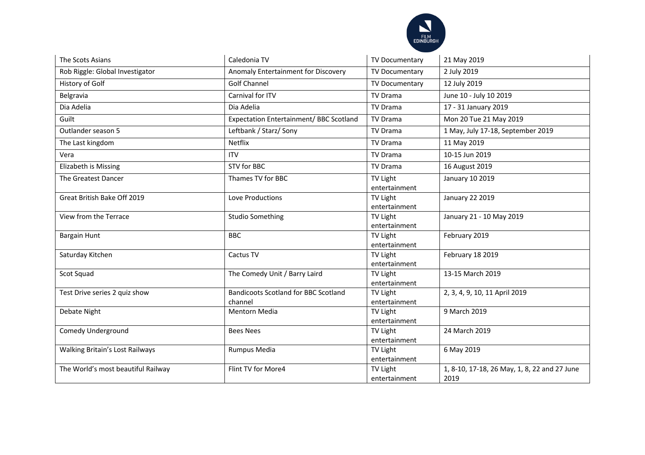

| The Scots Asians                   | Caledonia TV                                           | TV Documentary                   | 21 May 2019                                          |
|------------------------------------|--------------------------------------------------------|----------------------------------|------------------------------------------------------|
| Rob Riggle: Global Investigator    | Anomaly Entertainment for Discovery                    | TV Documentary                   | 2 July 2019                                          |
| History of Golf                    | <b>Golf Channel</b>                                    | TV Documentary                   | 12 July 2019                                         |
| Belgravia                          | Carnival for ITV                                       | <b>TV Drama</b>                  | June 10 - July 10 2019                               |
| Dia Adelia                         | Dia Adelia                                             | TV Drama                         | 17 - 31 January 2019                                 |
| Guilt                              | Expectation Entertainment/ BBC Scotland                | <b>TV Drama</b>                  | Mon 20 Tue 21 May 2019                               |
| Outlander season 5                 | Leftbank / Starz/ Sony                                 | <b>TV Drama</b>                  | 1 May, July 17-18, September 2019                    |
| The Last kingdom                   | Netflix                                                | <b>TV Drama</b>                  | 11 May 2019                                          |
| Vera                               | <b>ITV</b>                                             | <b>TV Drama</b>                  | 10-15 Jun 2019                                       |
| Elizabeth is Missing               | STV for BBC                                            | <b>TV Drama</b>                  | 16 August 2019                                       |
| <b>The Greatest Dancer</b>         | Thames TV for BBC                                      | TV Light<br>entertainment        | January 10 2019                                      |
| Great British Bake Off 2019        | Love Productions                                       | <b>TV Light</b><br>entertainment | January 22 2019                                      |
| View from the Terrace              | <b>Studio Something</b>                                | TV Light<br>entertainment        | January 21 - 10 May 2019                             |
| Bargain Hunt                       | <b>BBC</b>                                             | TV Light<br>entertainment        | February 2019                                        |
| Saturday Kitchen                   | Cactus TV                                              | TV Light<br>entertainment        | February 18 2019                                     |
| Scot Squad                         | The Comedy Unit / Barry Laird                          | <b>TV Light</b><br>entertainment | 13-15 March 2019                                     |
| Test Drive series 2 quiz show      | <b>Bandicoots Scotland for BBC Scotland</b><br>channel | TV Light<br>entertainment        | 2, 3, 4, 9, 10, 11 April 2019                        |
| Debate Night                       | <b>Mentorn Media</b>                                   | TV Light<br>entertainment        | 9 March 2019                                         |
| Comedy Underground                 | <b>Bees Nees</b>                                       | TV Light<br>entertainment        | 24 March 2019                                        |
| Walking Britain's Lost Railways    | Rumpus Media                                           | <b>TV Light</b><br>entertainment | 6 May 2019                                           |
| The World's most beautiful Railway | Flint TV for More4                                     | <b>TV Light</b><br>entertainment | 1, 8-10, 17-18, 26 May, 1, 8, 22 and 27 June<br>2019 |